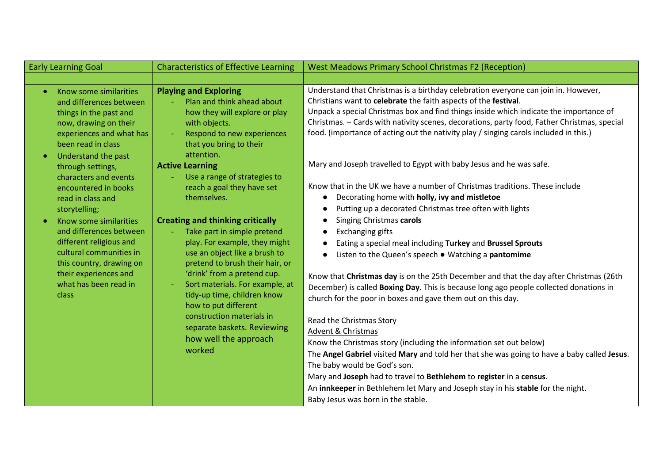| <b>Early Learning Goal</b>                                                                                                                                                                     | <b>Characteristics of Effective Learning</b>                                                                                                                                                                                                                                                                                                                                                        | <b>West Meadows Primary School Christmas F2 (Reception)</b>                                                                                                                                                                                                                                                                                                                                                                                                                                                    |  |
|------------------------------------------------------------------------------------------------------------------------------------------------------------------------------------------------|-----------------------------------------------------------------------------------------------------------------------------------------------------------------------------------------------------------------------------------------------------------------------------------------------------------------------------------------------------------------------------------------------------|----------------------------------------------------------------------------------------------------------------------------------------------------------------------------------------------------------------------------------------------------------------------------------------------------------------------------------------------------------------------------------------------------------------------------------------------------------------------------------------------------------------|--|
|                                                                                                                                                                                                |                                                                                                                                                                                                                                                                                                                                                                                                     |                                                                                                                                                                                                                                                                                                                                                                                                                                                                                                                |  |
| Know some similarities<br>$\bullet$<br>and differences between<br>things in the past and<br>now, drawing on their<br>experiences and what has<br>been read in class                            | <b>Playing and Exploring</b><br>Plan and think ahead about<br>how they will explore or play<br>with objects.<br>Respond to new experiences<br>that you bring to their                                                                                                                                                                                                                               | Understand that Christmas is a birthday celebration everyone can join in. However,<br>Christians want to celebrate the faith aspects of the festival.<br>Unpack a special Christmas box and find things inside which indicate the importance of<br>Christmas. - Cards with nativity scenes, decorations, party food, Father Christmas, special<br>food. (importance of acting out the nativity play / singing carols included in this.)<br>Mary and Joseph travelled to Egypt with baby Jesus and he was safe. |  |
| Understand the past<br>$\bullet$<br>through settings,<br>characters and events                                                                                                                 | attention.<br><b>Active Learning</b><br>Use a range of strategies to                                                                                                                                                                                                                                                                                                                                |                                                                                                                                                                                                                                                                                                                                                                                                                                                                                                                |  |
| encountered in books<br>read in class and<br>storytelling;                                                                                                                                     | reach a goal they have set<br>themselves.                                                                                                                                                                                                                                                                                                                                                           | Know that in the UK we have a number of Christmas traditions. These include<br>Decorating home with holly, ivy and mistletoe<br>$\bullet$<br>Putting up a decorated Christmas tree often with lights                                                                                                                                                                                                                                                                                                           |  |
| Know some similarities<br>and differences between<br>different religious and<br>cultural communities in<br>this country, drawing on<br>their experiences and<br>what has been read in<br>class | <b>Creating and thinking critically</b><br>Take part in simple pretend<br>play. For example, they might<br>use an object like a brush to<br>pretend to brush their hair, or<br>'drink' from a pretend cup.<br>Sort materials. For example, at<br>tidy-up time, children know<br>how to put different<br>construction materials in<br>separate baskets. Reviewing<br>how well the approach<br>worked | Singing Christmas carols<br>$\bullet$<br><b>Exchanging gifts</b><br>Eating a special meal including Turkey and Brussel Sprouts<br>$\bullet$<br>Listen to the Queen's speech . Watching a pantomime<br>$\bullet$<br>Know that Christmas day is on the 25th December and that the day after Christmas (26th                                                                                                                                                                                                      |  |
|                                                                                                                                                                                                |                                                                                                                                                                                                                                                                                                                                                                                                     | December) is called Boxing Day. This is because long ago people collected donations in<br>church for the poor in boxes and gave them out on this day.                                                                                                                                                                                                                                                                                                                                                          |  |
|                                                                                                                                                                                                |                                                                                                                                                                                                                                                                                                                                                                                                     | Read the Christmas Story<br>Advent & Christmas<br>Know the Christmas story (including the information set out below)<br>The Angel Gabriel visited Mary and told her that she was going to have a baby called Jesus.<br>The baby would be God's son.                                                                                                                                                                                                                                                            |  |
|                                                                                                                                                                                                |                                                                                                                                                                                                                                                                                                                                                                                                     | Mary and Joseph had to travel to Bethlehem to register in a census.<br>An innkeeper in Bethlehem let Mary and Joseph stay in his stable for the night.<br>Baby Jesus was born in the stable.                                                                                                                                                                                                                                                                                                                   |  |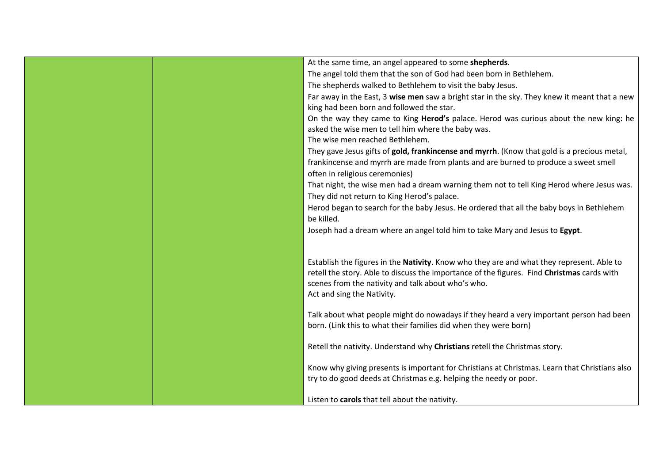| At the same time, an angel appeared to some shepherds.                                        |
|-----------------------------------------------------------------------------------------------|
| The angel told them that the son of God had been born in Bethlehem.                           |
| The shepherds walked to Bethlehem to visit the baby Jesus.                                    |
| Far away in the East, 3 wise men saw a bright star in the sky. They knew it meant that a new  |
| king had been born and followed the star.                                                     |
| On the way they came to King Herod's palace. Herod was curious about the new king: he         |
| asked the wise men to tell him where the baby was.                                            |
| The wise men reached Bethlehem.                                                               |
| They gave Jesus gifts of gold, frankincense and myrrh. (Know that gold is a precious metal,   |
| frankincense and myrrh are made from plants and are burned to produce a sweet smell           |
| often in religious ceremonies)                                                                |
| That night, the wise men had a dream warning them not to tell King Herod where Jesus was.     |
| They did not return to King Herod's palace.                                                   |
| Herod began to search for the baby Jesus. He ordered that all the baby boys in Bethlehem      |
| be killed.                                                                                    |
| Joseph had a dream where an angel told him to take Mary and Jesus to Egypt.                   |
|                                                                                               |
|                                                                                               |
| Establish the figures in the Nativity. Know who they are and what they represent. Able to     |
| retell the story. Able to discuss the importance of the figures. Find Christmas cards with    |
| scenes from the nativity and talk about who's who.<br>Act and sing the Nativity.              |
|                                                                                               |
| Talk about what people might do nowadays if they heard a very important person had been       |
| born. (Link this to what their families did when they were born)                              |
|                                                                                               |
| Retell the nativity. Understand why Christians retell the Christmas story.                    |
|                                                                                               |
| Know why giving presents is important for Christians at Christmas. Learn that Christians also |
| try to do good deeds at Christmas e.g. helping the needy or poor.                             |
|                                                                                               |
| Listen to carols that tell about the nativity.                                                |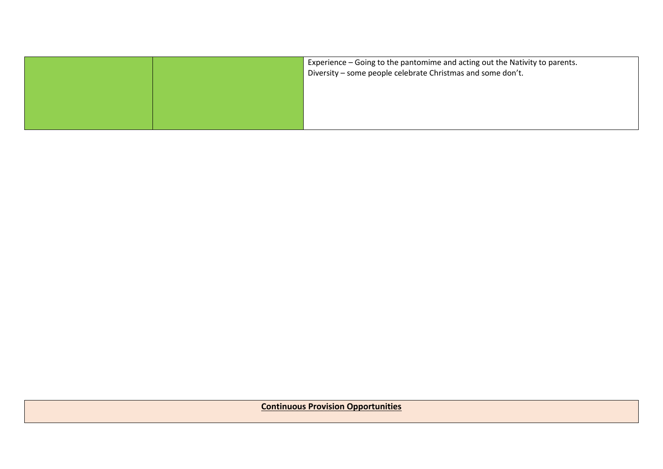|  | Experience – Going to the pantomime and acting out the Nativity to parents. |  |
|--|-----------------------------------------------------------------------------|--|
|  | Diversity – some people celebrate Christmas and some don't.                 |  |
|  |                                                                             |  |
|  |                                                                             |  |
|  |                                                                             |  |

**Continuous Provision Opportunities**